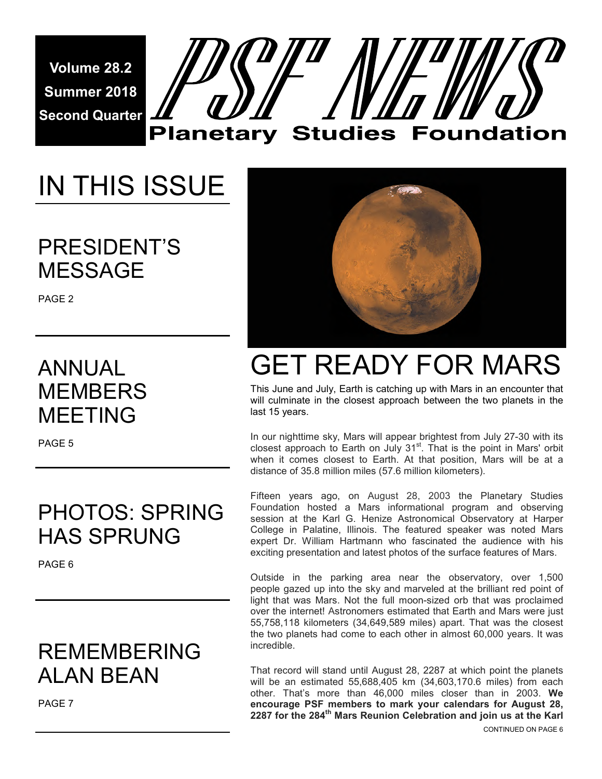**Volume 28.2 Summer 2018 Second Quarter** 



# IN THIS ISSUE

PRESIDENT'S MESSAGE

PAGE 2

### ANNUAL **MEMBERS** MEETING

PAGE 5

### PHOTOS: SPRING HAS SPRUNG

PAGE 6

### REMEMBERING ALAN BEAN

PAGE 7



# GET READY FOR MARS

This June and July, Earth is catching up with Mars in an encounter that will culminate in the closest approach between the two planets in the last 15 years.

In our nighttime sky, Mars will appear brightest from July 27-30 with its closest approach to Earth on July 31<sup>st</sup>. That is the point in Mars' orbit when it comes closest to Earth. At that position, Mars will be at a distance of 35.8 million miles (57.6 million kilometers).

Fifteen years ago, on August 28, 2003 the Planetary Studies Foundation hosted a Mars informational program and observing session at the Karl G. Henize Astronomical Observatory at Harper College in Palatine, Illinois. The featured speaker was noted Mars expert Dr. William Hartmann who fascinated the audience with his exciting presentation and latest photos of the surface features of Mars.

Outside in the parking area near the observatory, over 1,500 people gazed up into the sky and marveled at the brilliant red point of light that was Mars. Not the full moon-sized orb that was proclaimed over the internet! Astronomers estimated that Earth and Mars were just 55,758,118 kilometers (34,649,589 miles) apart. That was the closest the two planets had come to each other in almost 60,000 years. It was incredible.

That record will stand until August 28, 2287 at which point the planets will be an estimated 55,688,405 km (34,603,170.6 miles) from each other. That's more than 46,000 miles closer than in 2003. **We encourage PSF members to mark your calendars for August 28, 2287 for the 284th Mars Reunion Celebration and join us at the Karl**  CONTINUED ON PAGE 6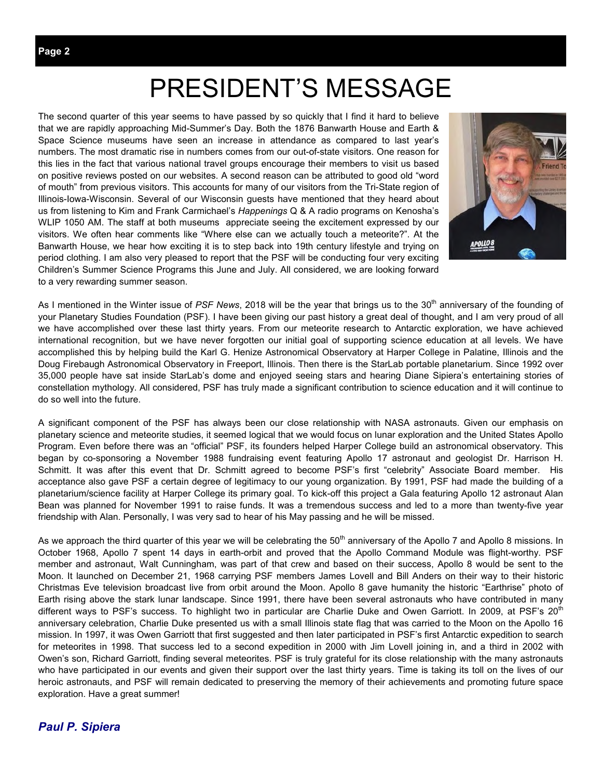## PRESIDENT'S MESSAGE

The second quarter of this year seems to have passed by so quickly that I find it hard to believe that we are rapidly approaching Mid-Summer's Day. Both the 1876 Banwarth House and Earth & Space Science museums have seen an increase in attendance as compared to last year's numbers. The most dramatic rise in numbers comes from our out-of-state visitors. One reason for this lies in the fact that various national travel groups encourage their members to visit us based on positive reviews posted on our websites. A second reason can be attributed to good old "word of mouth" from previous visitors. This accounts for many of our visitors from the Tri-State region of Illinois-Iowa-Wisconsin. Several of our Wisconsin guests have mentioned that they heard about us from listening to Kim and Frank Carmichael's *Happenings* Q & A radio programs on Kenosha's WLIP 1050 AM. The staff at both museums appreciate seeing the excitement expressed by our visitors. We often hear comments like "Where else can we actually touch a meteorite?". At the Banwarth House, we hear how exciting it is to step back into 19th century lifestyle and trying on period clothing. I am also very pleased to report that the PSF will be conducting four very exciting Children's Summer Science Programs this June and July. All considered, we are looking forward to a very rewarding summer season.



As I mentioned in the Winter issue of *PSF News*, 2018 will be the year that brings us to the 30<sup>th</sup> anniversary of the founding of your Planetary Studies Foundation (PSF). I have been giving our past history a great deal of thought, and I am very proud of all we have accomplished over these last thirty years. From our meteorite research to Antarctic exploration, we have achieved international recognition, but we have never forgotten our initial goal of supporting science education at all levels. We have accomplished this by helping build the Karl G. Henize Astronomical Observatory at Harper College in Palatine, Illinois and the Doug Firebaugh Astronomical Observatory in Freeport, Illinois. Then there is the StarLab portable planetarium. Since 1992 over 35,000 people have sat inside StarLab's dome and enjoyed seeing stars and hearing Diane Sipiera's entertaining stories of constellation mythology. All considered, PSF has truly made a significant contribution to science education and it will continue to do so well into the future.

A significant component of the PSF has always been our close relationship with NASA astronauts. Given our emphasis on planetary science and meteorite studies, it seemed logical that we would focus on lunar exploration and the United States Apollo Program. Even before there was an "official" PSF, its founders helped Harper College build an astronomical observatory. This began by co-sponsoring a November 1988 fundraising event featuring Apollo 17 astronaut and geologist Dr. Harrison H. Schmitt. It was after this event that Dr. Schmitt agreed to become PSF's first "celebrity" Associate Board member. His acceptance also gave PSF a certain degree of legitimacy to our young organization. By 1991, PSF had made the building of a planetarium/science facility at Harper College its primary goal. To kick-off this project a Gala featuring Apollo 12 astronaut Alan Bean was planned for November 1991 to raise funds. It was a tremendous success and led to a more than twenty-five year friendship with Alan. Personally, I was very sad to hear of his May passing and he will be missed.

As we approach the third quarter of this year we will be celebrating the  $50<sup>th</sup>$  anniversary of the Apollo 7 and Apollo 8 missions. In October 1968, Apollo 7 spent 14 days in earth-orbit and proved that the Apollo Command Module was flight-worthy. PSF member and astronaut, Walt Cunningham, was part of that crew and based on their success, Apollo 8 would be sent to the Moon. It launched on December 21, 1968 carrying PSF members James Lovell and Bill Anders on their way to their historic Christmas Eve television broadcast live from orbit around the Moon. Apollo 8 gave humanity the historic "Earthrise" photo of Earth rising above the stark lunar landscape. Since 1991, there have been several astronauts who have contributed in many different ways to PSF's success. To highlight two in particular are Charlie Duke and Owen Garriott. In 2009, at PSF's 20<sup>th</sup> anniversary celebration, Charlie Duke presented us with a small Illinois state flag that was carried to the Moon on the Apollo 16 mission. In 1997, it was Owen Garriott that first suggested and then later participated in PSF's first Antarctic expedition to search for meteorites in 1998. That success led to a second expedition in 2000 with Jim Lovell joining in, and a third in 2002 with Owen's son, Richard Garriott, finding several meteorites. PSF is truly grateful for its close relationship with the many astronauts who have participated in our events and given their support over the last thirty years. Time is taking its toll on the lives of our heroic astronauts, and PSF will remain dedicated to preserving the memory of their achievements and promoting future space exploration. Have a great summer!

#### *Paul P. Sipiera*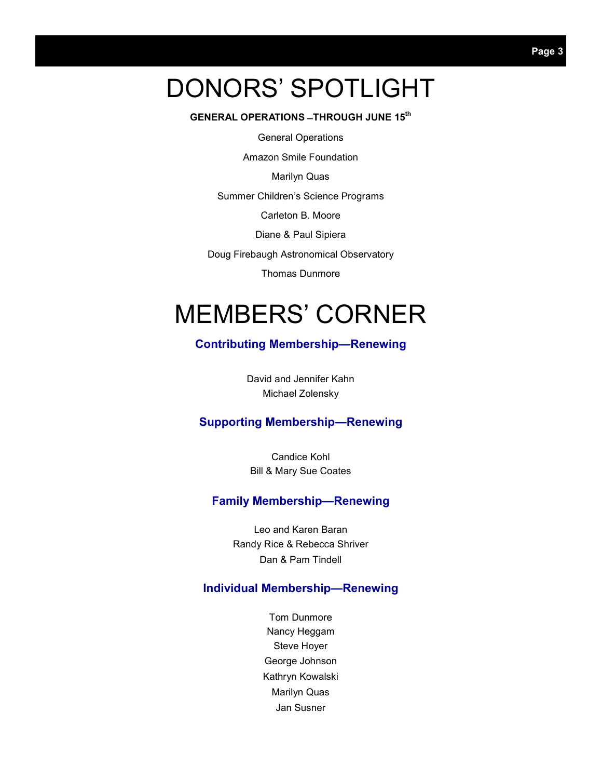## DONORS' SPOTLIGHT

#### **GENERAL OPERATIONS ̶ THROUGH JUNE 15th**

General Operations

Amazon Smile Foundation

Marilyn Quas

Summer Children's Science Programs

Carleton B. Moore

Diane & Paul Sipiera

Doug Firebaugh Astronomical Observatory

Thomas Dunmore

## MEMBERS' CORNER

#### **Contributing Membership—Renewing**

David and Jennifer Kahn Michael Zolensky

#### **Supporting Membership—Renewing**

Candice Kohl Bill & Mary Sue Coates

#### **Family Membership—Renewing**

Leo and Karen Baran Randy Rice & Rebecca Shriver Dan & Pam Tindell

#### **Individual Membership—Renewing**

Tom Dunmore Nancy Heggam Steve Hoyer George Johnson Kathryn Kowalski Marilyn Quas Jan Susner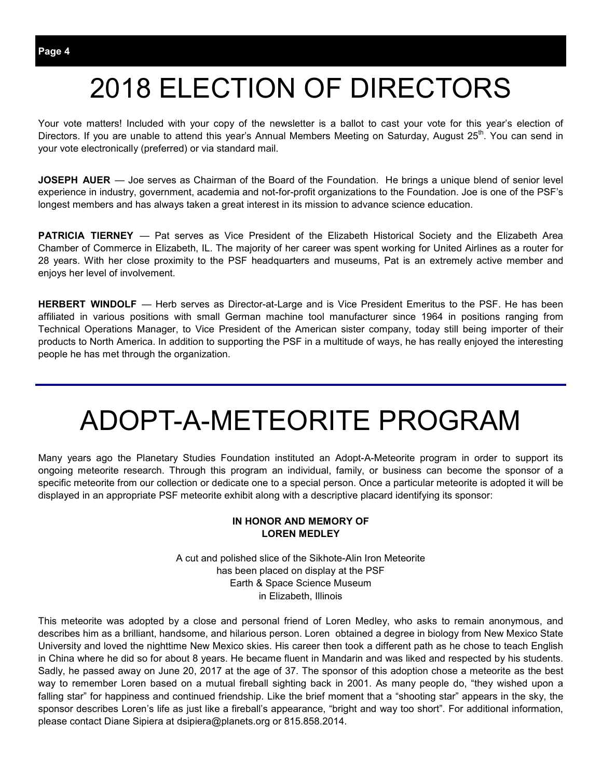## 2018 ELECTION OF DIRECTORS

Your vote matters! Included with your copy of the newsletter is a ballot to cast your vote for this year's election of Directors. If you are unable to attend this year's Annual Members Meeting on Saturday, August 25<sup>th</sup>. You can send in your vote electronically (preferred) or via standard mail.

**JOSEPH AUER** — Joe serves as Chairman of the Board of the Foundation. He brings a unique blend of senior level experience in industry, government, academia and not-for-profit organizations to the Foundation. Joe is one of the PSF's longest members and has always taken a great interest in its mission to advance science education.

**PATRICIA TIERNEY** — Pat serves as Vice President of the Elizabeth Historical Society and the Elizabeth Area Chamber of Commerce in Elizabeth, IL. The majority of her career was spent working for United Airlines as a router for 28 years. With her close proximity to the PSF headquarters and museums, Pat is an extremely active member and enjoys her level of involvement.

**HERBERT WINDOLF** — Herb serves as Director-at-Large and is Vice President Emeritus to the PSF. He has been affiliated in various positions with small German machine tool manufacturer since 1964 in positions ranging from Technical Operations Manager, to Vice President of the American sister company, today still being importer of their products to North America. In addition to supporting the PSF in a multitude of ways, he has really enjoyed the interesting people he has met through the organization.

## ADOPT-A-METEORITE PROGRAM

Many years ago the Planetary Studies Foundation instituted an Adopt-A-Meteorite program in order to support its ongoing meteorite research. Through this program an individual, family, or business can become the sponsor of a specific meteorite from our collection or dedicate one to a special person. Once a particular meteorite is adopted it will be displayed in an appropriate PSF meteorite exhibit along with a descriptive placard identifying its sponsor:

#### **IN HONOR AND MEMORY OF LOREN MEDLEY**

A cut and polished slice of the Sikhote-Alin Iron Meteorite has been placed on display at the PSF Earth & Space Science Museum in Elizabeth, Illinois

This meteorite was adopted by a close and personal friend of Loren Medley, who asks to remain anonymous, and describes him as a brilliant, handsome, and hilarious person. Loren obtained a degree in biology from New Mexico State University and loved the nighttime New Mexico skies. His career then took a different path as he chose to teach English in China where he did so for about 8 years. He became fluent in Mandarin and was liked and respected by his students. Sadly, he passed away on June 20, 2017 at the age of 37. The sponsor of this adoption chose a meteorite as the best way to remember Loren based on a mutual fireball sighting back in 2001. As many people do, "they wished upon a falling star" for happiness and continued friendship. Like the brief moment that a "shooting star" appears in the sky, the sponsor describes Loren's life as just like a fireball's appearance, "bright and way too short". For additional information, please contact Diane Sipiera at dsipiera@planets.org or 815.858.2014.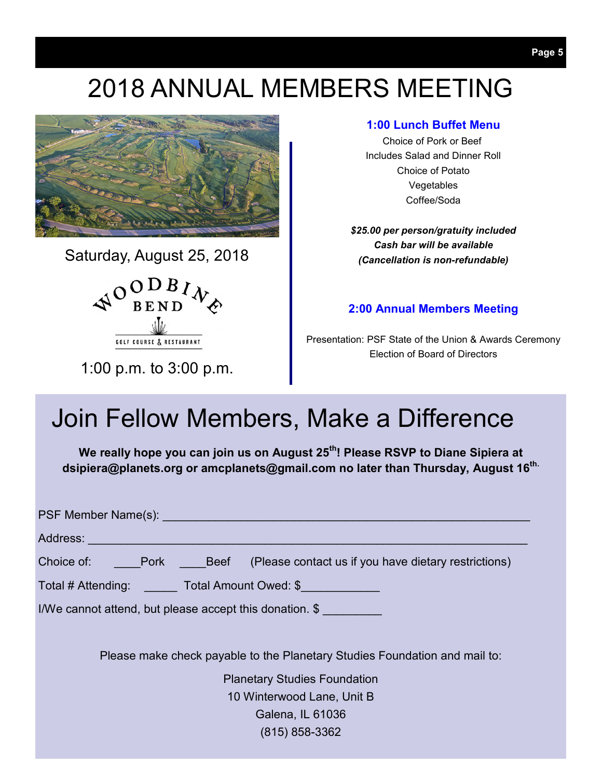## 2018 ANNUAL MEMBERS MEETING



Saturday, August 25, 2018



1:00 p.m. to 3:00 p.m.

#### **1:00 Lunch Buffet Menu**

Choice of Pork or Beef Includes Salad and Dinner Roll Choice of Potato Vegetables Coffee/Soda

*\$25.00 per person/gratuity included Cash bar will be available (Cancellation is non-refundable)* 

#### **2:00 Annual Members Meeting**

Presentation: PSF State of the Union & Awards Ceremony Election of Board of Directors

### Join Fellow Members, Make a Difference

**We really hope you can join us on August 25th! Please RSVP to Diane Sipiera at dsipiera@planets.org or amcplanets@gmail.com no later than Thursday, August 16th.**

| PSF Member Name(s): Name of the Contract of the Contract of the Contract of the Contract of the Contract of the Contract of the Contract of the Contract of the Contract of the Contract of the Contract of the Contract of th |
|--------------------------------------------------------------------------------------------------------------------------------------------------------------------------------------------------------------------------------|
| Address: Address: Address: Address: Address: Address: Address: Address: Address: Address: Address: A                                                                                                                           |
| Choice of: Pork Beef (Please contact us if you have dietary restrictions)                                                                                                                                                      |
| Total # Attending: _______ Total Amount Owed: \$                                                                                                                                                                               |
| I/We cannot attend, but please accept this donation. \$                                                                                                                                                                        |
|                                                                                                                                                                                                                                |
| Please make check payable to the Planetary Studies Foundation and mail to:                                                                                                                                                     |
| <b>Planetary Studies Foundation</b>                                                                                                                                                                                            |
| 10 Winterwood Lane, Unit B                                                                                                                                                                                                     |
| Galena, IL 61036                                                                                                                                                                                                               |
| $(815) 858 - 3362$                                                                                                                                                                                                             |
|                                                                                                                                                                                                                                |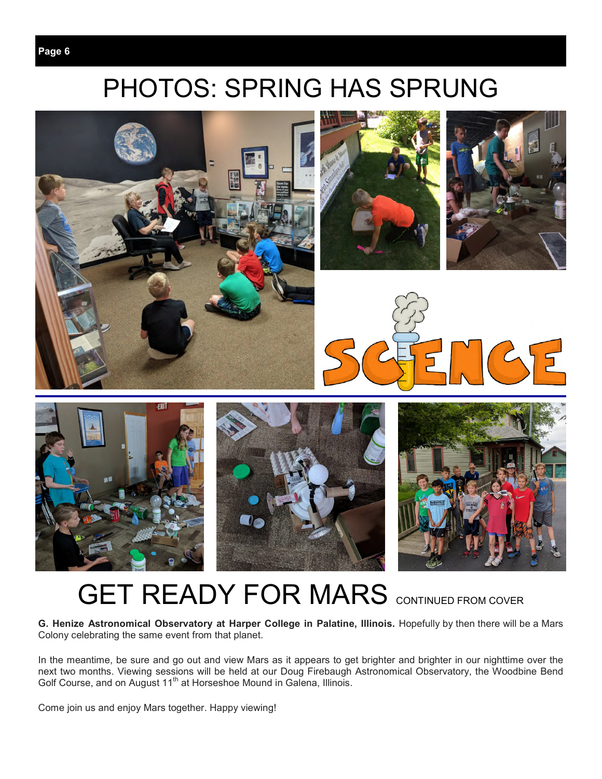## PHOTOS: SPRING HAS SPRUNG



## **GET READY FOR MARS** CONTINUED FROM COVER

**G. Henize Astronomical Observatory at Harper College in Palatine, Illinois.** Hopefully by then there will be a Mars Colony celebrating the same event from that planet.

In the meantime, be sure and go out and view Mars as it appears to get brighter and brighter in our nighttime over the next two months. Viewing sessions will be held at our Doug Firebaugh Astronomical Observatory, the Woodbine Bend Golf Course, and on August 11<sup>th</sup> at Horseshoe Mound in Galena, Illinois.

Come join us and enjoy Mars together. Happy viewing!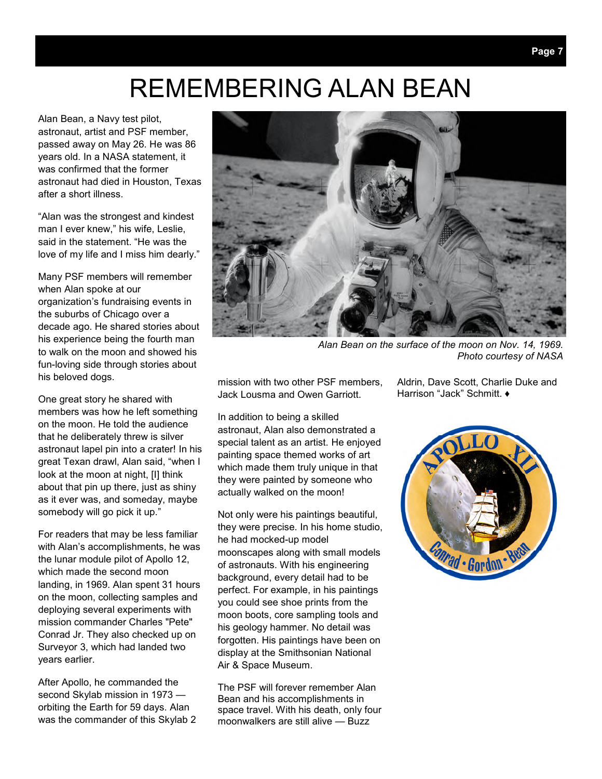## REMEMBERING ALAN BEAN

Alan Bean, a Navy test pilot, astronaut, artist and PSF member, passed away on May 26. He was 86 years old. In a NASA statement, it was confirmed that the former astronaut had died in Houston, Texas after a short illness.

"Alan was the strongest and kindest man I ever knew," his wife, Leslie, said in the statement. "He was the love of my life and I miss him dearly."

Many PSF members will remember when Alan spoke at our organization's fundraising events in the suburbs of Chicago over a decade ago. He shared stories about his experience being the fourth man to walk on the moon and showed his fun-loving side through stories about his beloved dogs.

One great story he shared with members was how he left something on the moon. He told the audience that he deliberately threw is silver astronaut lapel pin into a crater! In his great Texan drawl, Alan said, "when I look at the moon at night, [I] think about that pin up there, just as shiny as it ever was, and someday, maybe somebody will go pick it up."

For readers that may be less familiar with Alan's accomplishments, he was the lunar module pilot of Apollo 12, which made the second moon landing, in 1969. Alan spent 31 hours on the moon, collecting samples and deploying several experiments with mission commander Charles "Pete" Conrad Jr. They also checked up on Surveyor 3, which had landed two years earlier.

After Apollo, he commanded the second Skylab mission in 1973 orbiting the Earth for 59 days. Alan was the commander of this Skylab 2



*Alan Bean on the surface of the moon on Nov. 14, 1969. Photo courtesy of NASA* 

mission with two other PSF members, Jack Lousma and Owen Garriott.

In addition to being a skilled astronaut, Alan also demonstrated a special talent as an artist. He enjoyed painting space themed works of art which made them truly unique in that they were painted by someone who actually walked on the moon!

Not only were his paintings beautiful, they were precise. In his home studio, he had mocked-up model moonscapes along with small models of astronauts. With his engineering background, every detail had to be perfect. For example, in his paintings you could see shoe prints from the moon boots, core sampling tools and his geology hammer. No detail was forgotten. His paintings have been on display at the Smithsonian National Air & Space Museum.

The PSF will forever remember Alan Bean and his accomplishments in space travel. With his death, only four moonwalkers are still alive — Buzz

Aldrin, Dave Scott, Charlie Duke and Harrison "Jack" Schmitt. ♦